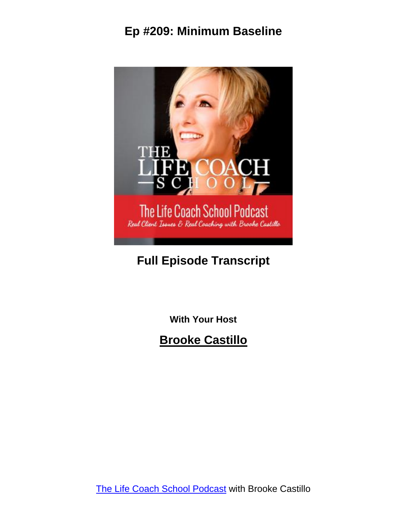

#### **Full Episode Transcript**

**With Your Host**

**Brooke Castillo**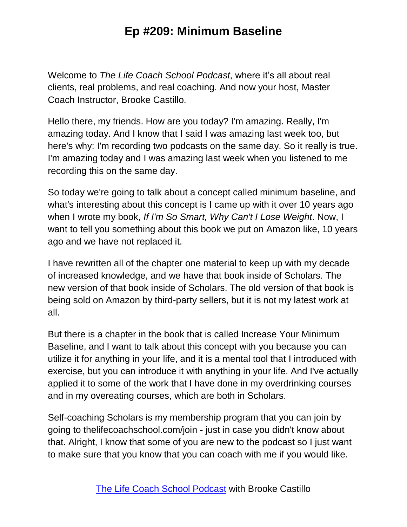Welcome to *The Life Coach School Podcast*, where it's all about real clients, real problems, and real coaching. And now your host, Master Coach Instructor, Brooke Castillo.

Hello there, my friends. How are you today? I'm amazing. Really, I'm amazing today. And I know that I said I was amazing last week too, but here's why: I'm recording two podcasts on the same day. So it really is true. I'm amazing today and I was amazing last week when you listened to me recording this on the same day.

So today we're going to talk about a concept called minimum baseline, and what's interesting about this concept is I came up with it over 10 years ago when I wrote my book, *If I'm So Smart, Why Can't I Lose Weight*. Now, I want to tell you something about this book we put on Amazon like, 10 years ago and we have not replaced it.

I have rewritten all of the chapter one material to keep up with my decade of increased knowledge, and we have that book inside of Scholars. The new version of that book inside of Scholars. The old version of that book is being sold on Amazon by third-party sellers, but it is not my latest work at all.

But there is a chapter in the book that is called Increase Your Minimum Baseline, and I want to talk about this concept with you because you can utilize it for anything in your life, and it is a mental tool that I introduced with exercise, but you can introduce it with anything in your life. And I've actually applied it to some of the work that I have done in my overdrinking courses and in my overeating courses, which are both in Scholars.

Self-coaching Scholars is my membership program that you can join by going to thelifecoachschool.com/join - just in case you didn't know about that. Alright, I know that some of you are new to the podcast so I just want to make sure that you know that you can coach with me if you would like.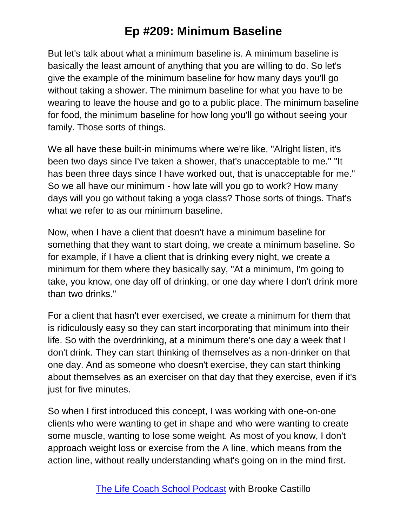But let's talk about what a minimum baseline is. A minimum baseline is basically the least amount of anything that you are willing to do. So let's give the example of the minimum baseline for how many days you'll go without taking a shower. The minimum baseline for what you have to be wearing to leave the house and go to a public place. The minimum baseline for food, the minimum baseline for how long you'll go without seeing your family. Those sorts of things.

We all have these built-in minimums where we're like, "Alright listen, it's been two days since I've taken a shower, that's unacceptable to me." "It has been three days since I have worked out, that is unacceptable for me." So we all have our minimum - how late will you go to work? How many days will you go without taking a yoga class? Those sorts of things. That's what we refer to as our minimum baseline.

Now, when I have a client that doesn't have a minimum baseline for something that they want to start doing, we create a minimum baseline. So for example, if I have a client that is drinking every night, we create a minimum for them where they basically say, "At a minimum, I'm going to take, you know, one day off of drinking, or one day where I don't drink more than two drinks."

For a client that hasn't ever exercised, we create a minimum for them that is ridiculously easy so they can start incorporating that minimum into their life. So with the overdrinking, at a minimum there's one day a week that I don't drink. They can start thinking of themselves as a non-drinker on that one day. And as someone who doesn't exercise, they can start thinking about themselves as an exerciser on that day that they exercise, even if it's just for five minutes.

So when I first introduced this concept, I was working with one-on-one clients who were wanting to get in shape and who were wanting to create some muscle, wanting to lose some weight. As most of you know, I don't approach weight loss or exercise from the A line, which means from the action line, without really understanding what's going on in the mind first.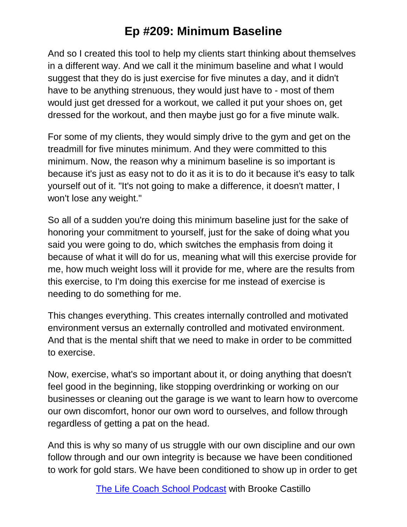And so I created this tool to help my clients start thinking about themselves in a different way. And we call it the minimum baseline and what I would suggest that they do is just exercise for five minutes a day, and it didn't have to be anything strenuous, they would just have to - most of them would just get dressed for a workout, we called it put your shoes on, get dressed for the workout, and then maybe just go for a five minute walk.

For some of my clients, they would simply drive to the gym and get on the treadmill for five minutes minimum. And they were committed to this minimum. Now, the reason why a minimum baseline is so important is because it's just as easy not to do it as it is to do it because it's easy to talk yourself out of it. "It's not going to make a difference, it doesn't matter, I won't lose any weight."

So all of a sudden you're doing this minimum baseline just for the sake of honoring your commitment to yourself, just for the sake of doing what you said you were going to do, which switches the emphasis from doing it because of what it will do for us, meaning what will this exercise provide for me, how much weight loss will it provide for me, where are the results from this exercise, to I'm doing this exercise for me instead of exercise is needing to do something for me.

This changes everything. This creates internally controlled and motivated environment versus an externally controlled and motivated environment. And that is the mental shift that we need to make in order to be committed to exercise.

Now, exercise, what's so important about it, or doing anything that doesn't feel good in the beginning, like stopping overdrinking or working on our businesses or cleaning out the garage is we want to learn how to overcome our own discomfort, honor our own word to ourselves, and follow through regardless of getting a pat on the head.

And this is why so many of us struggle with our own discipline and our own follow through and our own integrity is because we have been conditioned to work for gold stars. We have been conditioned to show up in order to get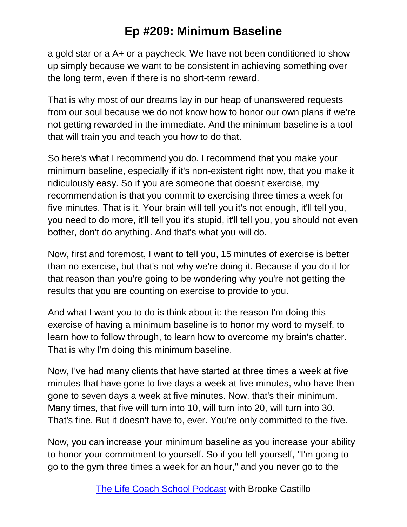a gold star or a A+ or a paycheck. We have not been conditioned to show up simply because we want to be consistent in achieving something over the long term, even if there is no short-term reward.

That is why most of our dreams lay in our heap of unanswered requests from our soul because we do not know how to honor our own plans if we're not getting rewarded in the immediate. And the minimum baseline is a tool that will train you and teach you how to do that.

So here's what I recommend you do. I recommend that you make your minimum baseline, especially if it's non-existent right now, that you make it ridiculously easy. So if you are someone that doesn't exercise, my recommendation is that you commit to exercising three times a week for five minutes. That is it. Your brain will tell you it's not enough, it'll tell you, you need to do more, it'll tell you it's stupid, it'll tell you, you should not even bother, don't do anything. And that's what you will do.

Now, first and foremost, I want to tell you, 15 minutes of exercise is better than no exercise, but that's not why we're doing it. Because if you do it for that reason than you're going to be wondering why you're not getting the results that you are counting on exercise to provide to you.

And what I want you to do is think about it: the reason I'm doing this exercise of having a minimum baseline is to honor my word to myself, to learn how to follow through, to learn how to overcome my brain's chatter. That is why I'm doing this minimum baseline.

Now, I've had many clients that have started at three times a week at five minutes that have gone to five days a week at five minutes, who have then gone to seven days a week at five minutes. Now, that's their minimum. Many times, that five will turn into 10, will turn into 20, will turn into 30. That's fine. But it doesn't have to, ever. You're only committed to the five.

Now, you can increase your minimum baseline as you increase your ability to honor your commitment to yourself. So if you tell yourself, "I'm going to go to the gym three times a week for an hour," and you never go to the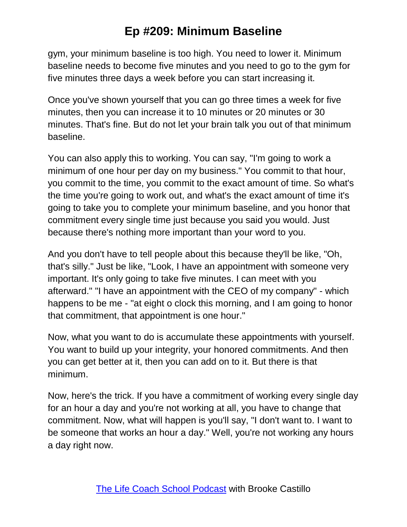gym, your minimum baseline is too high. You need to lower it. Minimum baseline needs to become five minutes and you need to go to the gym for five minutes three days a week before you can start increasing it.

Once you've shown yourself that you can go three times a week for five minutes, then you can increase it to 10 minutes or 20 minutes or 30 minutes. That's fine. But do not let your brain talk you out of that minimum baseline.

You can also apply this to working. You can say, "I'm going to work a minimum of one hour per day on my business." You commit to that hour, you commit to the time, you commit to the exact amount of time. So what's the time you're going to work out, and what's the exact amount of time it's going to take you to complete your minimum baseline, and you honor that commitment every single time just because you said you would. Just because there's nothing more important than your word to you.

And you don't have to tell people about this because they'll be like, "Oh, that's silly." Just be like, "Look, I have an appointment with someone very important. It's only going to take five minutes. I can meet with you afterward." "I have an appointment with the CEO of my company" - which happens to be me - "at eight o clock this morning, and I am going to honor that commitment, that appointment is one hour."

Now, what you want to do is accumulate these appointments with yourself. You want to build up your integrity, your honored commitments. And then you can get better at it, then you can add on to it. But there is that minimum.

Now, here's the trick. If you have a commitment of working every single day for an hour a day and you're not working at all, you have to change that commitment. Now, what will happen is you'll say, "I don't want to. I want to be someone that works an hour a day." Well, you're not working any hours a day right now.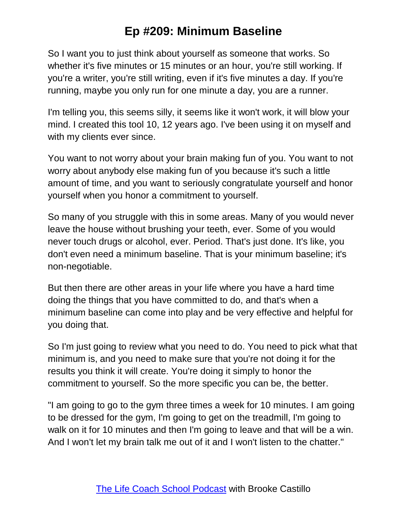So I want you to just think about yourself as someone that works. So whether it's five minutes or 15 minutes or an hour, you're still working. If you're a writer, you're still writing, even if it's five minutes a day. If you're running, maybe you only run for one minute a day, you are a runner.

I'm telling you, this seems silly, it seems like it won't work, it will blow your mind. I created this tool 10, 12 years ago. I've been using it on myself and with my clients ever since.

You want to not worry about your brain making fun of you. You want to not worry about anybody else making fun of you because it's such a little amount of time, and you want to seriously congratulate yourself and honor yourself when you honor a commitment to yourself.

So many of you struggle with this in some areas. Many of you would never leave the house without brushing your teeth, ever. Some of you would never touch drugs or alcohol, ever. Period. That's just done. It's like, you don't even need a minimum baseline. That is your minimum baseline; it's non-negotiable.

But then there are other areas in your life where you have a hard time doing the things that you have committed to do, and that's when a minimum baseline can come into play and be very effective and helpful for you doing that.

So I'm just going to review what you need to do. You need to pick what that minimum is, and you need to make sure that you're not doing it for the results you think it will create. You're doing it simply to honor the commitment to yourself. So the more specific you can be, the better.

"I am going to go to the gym three times a week for 10 minutes. I am going to be dressed for the gym, I'm going to get on the treadmill, I'm going to walk on it for 10 minutes and then I'm going to leave and that will be a win. And I won't let my brain talk me out of it and I won't listen to the chatter."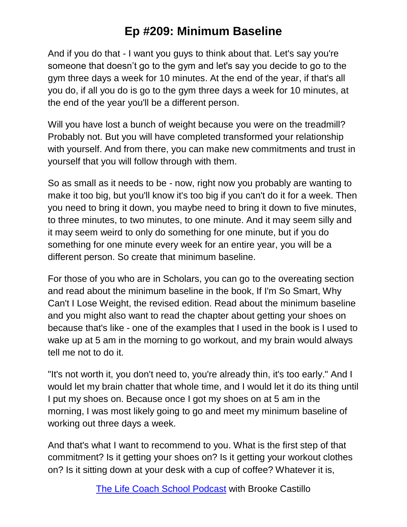And if you do that - I want you guys to think about that. Let's say you're someone that doesn't go to the gym and let's say you decide to go to the gym three days a week for 10 minutes. At the end of the year, if that's all you do, if all you do is go to the gym three days a week for 10 minutes, at the end of the year you'll be a different person.

Will you have lost a bunch of weight because you were on the treadmill? Probably not. But you will have completed transformed your relationship with yourself. And from there, you can make new commitments and trust in yourself that you will follow through with them.

So as small as it needs to be - now, right now you probably are wanting to make it too big, but you'll know it's too big if you can't do it for a week. Then you need to bring it down, you maybe need to bring it down to five minutes, to three minutes, to two minutes, to one minute. And it may seem silly and it may seem weird to only do something for one minute, but if you do something for one minute every week for an entire year, you will be a different person. So create that minimum baseline.

For those of you who are in Scholars, you can go to the overeating section and read about the minimum baseline in the book, If I'm So Smart, Why Can't I Lose Weight, the revised edition. Read about the minimum baseline and you might also want to read the chapter about getting your shoes on because that's like - one of the examples that I used in the book is I used to wake up at 5 am in the morning to go workout, and my brain would always tell me not to do it.

"It's not worth it, you don't need to, you're already thin, it's too early." And I would let my brain chatter that whole time, and I would let it do its thing until I put my shoes on. Because once I got my shoes on at 5 am in the morning, I was most likely going to go and meet my minimum baseline of working out three days a week.

And that's what I want to recommend to you. What is the first step of that commitment? Is it getting your shoes on? Is it getting your workout clothes on? Is it sitting down at your desk with a cup of coffee? Whatever it is,